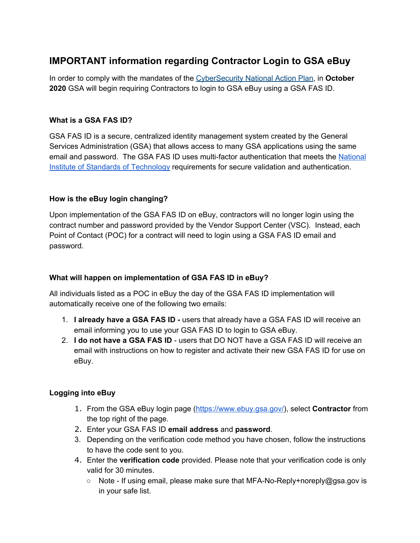# **IMPORTANT information regarding Contractor Login to GSA eBuy**

In order to comply with the mandates of the [CyberSecurity](https://obamawhitehouse.archives.gov/the-press-office/2016/02/09/fact-sheet-cybersecurity-national-action-plan) National Action Plan, in **October 2020** GSA will begin requiring Contractors to login to GSA eBuy using a GSA FAS ID.

#### **What is a GSA FAS ID?**

GSA FAS ID is a secure, centralized identity management system created by the General Services Administration (GSA) that allows access to many GSA applications using the same email and password. The GSA FAS ID uses multi-factor authentication that meets the [National](https://www.nist.gov/) Institute of Standards of [Technology](https://www.nist.gov/) requirements for secure validation and authentication.

#### **How is the eBuy login changing?**

Upon implementation of the GSA FAS ID on eBuy, contractors will no longer login using the contract number and password provided by the Vendor Support Center (VSC). Instead, each Point of Contact (POC) for a contract will need to login using a GSA FAS ID email and password.

## **What will happen on implementation of GSA FAS ID in eBuy?**

All individuals listed as a POC in eBuy the day of the GSA FAS ID implementation will automatically receive one of the following two emails:

- 1. **I already have a GSA FAS ID -** users that already have a GSA FAS ID will receive an email informing you to use your GSA FAS ID to login to GSA eBuy.
- 2. **I do not have a GSA FAS ID** users that DO NOT have a GSA FAS ID will receive an email with instructions on how to register and activate their new GSA FAS ID for use on eBuy.

## **Logging into eBuy**

- 1. From the GSA eBuy login page ([https://www.ebuy.gsa.gov/\)](https://www.ebuy.gsa.gov/), select **Contractor** from the top right of the page.
- 2. Enter your GSA FAS ID **email address** and **password**.
- 3. Depending on the verification code method you have chosen, follow the instructions to have the code sent to you.
- 4. Enter the **verification code** provided. Please note that your verification code is only valid for 30 minutes.
	- Note If using email, please make sure that MFA-No-Reply+noreply@gsa.gov is in your safe list.